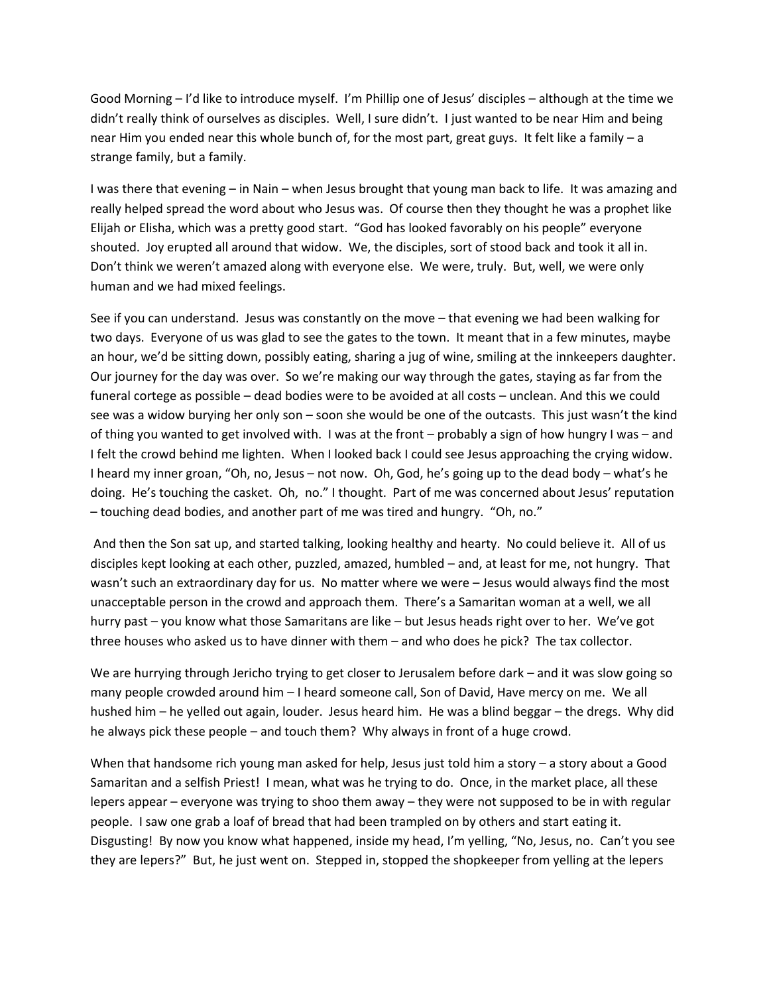Good Morning – I'd like to introduce myself. I'm Phillip one of Jesus' disciples – although at the time we didn't really think of ourselves as disciples. Well, I sure didn't. I just wanted to be near Him and being near Him you ended near this whole bunch of, for the most part, great guys. It felt like a family - a strange family, but a family.

I was there that evening – in Nain – when Jesus brought that young man back to life. It was amazing and really helped spread the word about who Jesus was. Of course then they thought he was a prophet like Elijah or Elisha, which was a pretty good start. "God has looked favorably on his people" everyone shouted. Joy erupted all around that widow. We, the disciples, sort of stood back and took it all in. Don't think we weren't amazed along with everyone else. We were, truly. But, well, we were only human and we had mixed feelings.

See if you can understand. Jesus was constantly on the move – that evening we had been walking for two days. Everyone of us was glad to see the gates to the town. It meant that in a few minutes, maybe an hour, we'd be sitting down, possibly eating, sharing a jug of wine, smiling at the innkeepers daughter. Our journey for the day was over. So we're making our way through the gates, staying as far from the funeral cortege as possible – dead bodies were to be avoided at all costs – unclean. And this we could see was a widow burying her only son – soon she would be one of the outcasts. This just wasn't the kind of thing you wanted to get involved with. I was at the front – probably a sign of how hungry I was – and I felt the crowd behind me lighten. When I looked back I could see Jesus approaching the crying widow. I heard my inner groan, "Oh, no, Jesus – not now. Oh, God, he's going up to the dead body – what's he doing. He's touching the casket. Oh, no." I thought. Part of me was concerned about Jesus' reputation – touching dead bodies, and another part of me was tired and hungry. "Oh, no."

And then the Son sat up, and started talking, looking healthy and hearty. No could believe it. All of us disciples kept looking at each other, puzzled, amazed, humbled – and, at least for me, not hungry. That wasn't such an extraordinary day for us. No matter where we were – Jesus would always find the most unacceptable person in the crowd and approach them. There's a Samaritan woman at a well, we all hurry past – you know what those Samaritans are like – but Jesus heads right over to her. We've got three houses who asked us to have dinner with them – and who does he pick? The tax collector.

We are hurrying through Jericho trying to get closer to Jerusalem before dark – and it was slow going so many people crowded around him – I heard someone call, Son of David, Have mercy on me. We all hushed him – he yelled out again, louder. Jesus heard him. He was a blind beggar – the dregs. Why did he always pick these people – and touch them? Why always in front of a huge crowd.

When that handsome rich young man asked for help, Jesus just told him a story – a story about a Good Samaritan and a selfish Priest! I mean, what was he trying to do. Once, in the market place, all these lepers appear – everyone was trying to shoo them away – they were not supposed to be in with regular people. I saw one grab a loaf of bread that had been trampled on by others and start eating it. Disgusting! By now you know what happened, inside my head, I'm yelling, "No, Jesus, no. Can't you see they are lepers?" But, he just went on. Stepped in, stopped the shopkeeper from yelling at the lepers